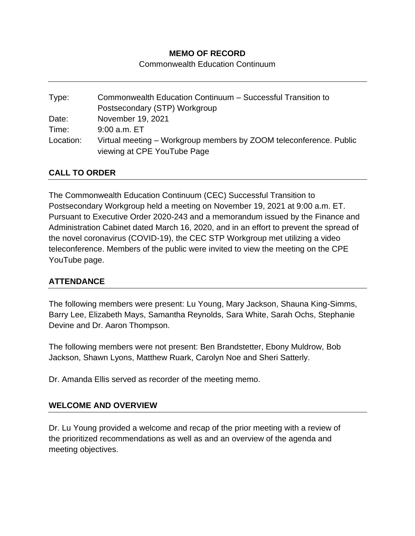### **MEMO OF RECORD**

Commonwealth Education Continuum

| Type:     | Commonwealth Education Continuum - Successful Transition to                                       |
|-----------|---------------------------------------------------------------------------------------------------|
|           | Postsecondary (STP) Workgroup                                                                     |
| Date:     | November 19, 2021                                                                                 |
| Time:     | $9:00$ a.m. $ET$                                                                                  |
| Location: | Virtual meeting – Workgroup members by ZOOM teleconference. Public<br>viewing at CPE YouTube Page |

## **CALL TO ORDER**

The Commonwealth Education Continuum (CEC) Successful Transition to Postsecondary Workgroup held a meeting on November 19, 2021 at 9:00 a.m. ET. Pursuant to Executive Order 2020-243 and a memorandum issued by the Finance and Administration Cabinet dated March 16, 2020, and in an effort to prevent the spread of the novel coronavirus (COVID-19), the CEC STP Workgroup met utilizing a video teleconference. Members of the public were invited to view the meeting on the CPE YouTube page.

### **ATTENDANCE**

The following members were present: Lu Young, Mary Jackson, Shauna King-Simms, Barry Lee, Elizabeth Mays, Samantha Reynolds, Sara White, Sarah Ochs, Stephanie Devine and Dr. Aaron Thompson.

The following members were not present: Ben Brandstetter, Ebony Muldrow, Bob Jackson, Shawn Lyons, Matthew Ruark, Carolyn Noe and Sheri Satterly.

Dr. Amanda Ellis served as recorder of the meeting memo.

### **WELCOME AND OVERVIEW**

Dr. Lu Young provided a welcome and recap of the prior meeting with a review of the prioritized recommendations as well as and an overview of the agenda and meeting objectives.